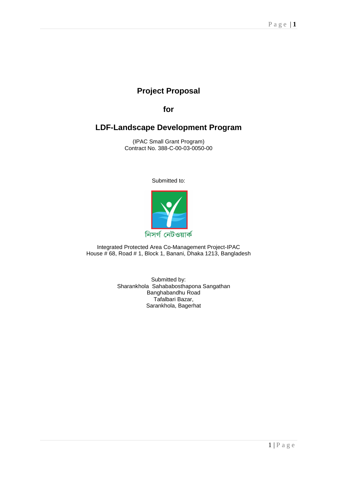# **Project Proposal**

**for** 

# **LDF-Landscape Development Program**

(IPAC Small Grant Program) Contract No. 388-C-00-03-0050-00

Submitted to:



Integrated Protected Area Co-Management Project-IPAC House # 68, Road # 1, Block 1, Banani, Dhaka 1213, Bangladesh

> Submitted by: Sharankhola Sahababosthapona Sangathan Banghabandhu Road Tafalbari Bazar, Sarankhola, Bagerhat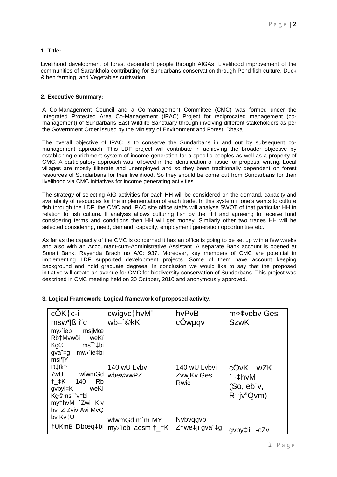# **1. Title:**

Livelihood development of forest dependent people through AIGAs, Livelihood improvement of the communities of Sarankhola contributing for Sundarbans conservation through Pond fish culture, Duck & hen farming, and Vegetables cultivation

# **2. Executive Summary:**

A Co-Management Council and a Co-management Committee (CMC) was formed under the Integrated Protected Area Co-Management (IPAC) Project for reciprocated management (comanagement) of Sundarbans East Wildlife Sanctuary through involving different stakeholders as per the Government Order issued by the Ministry of Environment and Forest, Dhaka.

The overall objective of IPAC is to conserve the Sundarbans in and out by subsequent comanagement approach. This LDF project will contribute in achieving the broader objective by establishing enrichment system of income generation for a specific peoples as well as a property of CMC. A participatory approach was followed in the identification of issue for proposal writing. Local villages are mostly illiterate and unemployed and so they been traditionally dependent on forest resources of Sundarbans for their livelihood. So they should be come out from Sundarbans for their livelihood via CMC initiatives for income generating activities.

The strategy of selecting AIG activities for each HH will be considered on the demand, capacity and availability of resources for the implementation of each trade. In this system if one's wants to culture fish through the LDF, the CMC and IPAC site office staffs will analyse SWOT of that particular HH in relation to fish culture. If analysis allows culturing fish by the HH and agreeing to receive fund considering terms and conditions then HH will get money. Similarly other two trades HH will be selected considering, need, demand, capacity, employment generation opportunities etc.

As far as the capacity of the CMC is concerned it has an office is going to be set up with a few weeks and also with an Accountant-cum-Administrative Assistant. A separate Bank account is opened at Sonali Bank, Rayenda Brach no A/C: 937. Moreover, key members of CMC are potential in implementing LDF supported development projects. Some of them have account keeping background and hold graduate degrees. In conclusion we would like to say that the proposed initiative will create an avenue for CMC for biodiversity conservation of Sundarbans. This project was described in CMC meeting held on 30 October, 2010 and anonymously approved.

| cOK‡c-i                                                                                                                                                               | cwigvc‡hvM"                                              | hvPvB                                     | m¤¢veby Ges                                  |
|-----------------------------------------------------------------------------------------------------------------------------------------------------------------------|----------------------------------------------------------|-------------------------------------------|----------------------------------------------|
| msw¶ß i"c                                                                                                                                                             | wb <sup>+</sup> `©kK                                     | cÖwµqv                                    | <b>SzwK</b>                                  |
| $my$ ieb<br>msjMœ<br>Rb‡Mvwôi<br>weKí<br>ms <sup>–</sup> '‡bi<br>Kg©<br>gva"‡g mw <sup>y</sup> ie‡bi<br>msi¶Y                                                         |                                                          |                                           |                                              |
| $D \ddagger \ddagger \text{k}$<br>7wU<br>wfwmGd<br>$+$ $\pm$ K 140<br><b>Rb</b><br>gvbyl‡K<br>weKí<br>Kg©ms <sup>-</sup> 'v‡bi<br>my‡hvM 2wi Kiv<br>hv‡Z Zviv Avi MvQ | 140 wU Lvbv<br>wbe©vwPZ                                  | 140 wU Lvbvi<br><b>ZvwiKv Ges</b><br>Rwic | cÖvKwZK<br>`~‡hvM<br>(So, eb"v,<br>R‡jv"Qvm) |
| bv Kv‡U<br>†UKmB Dbœq‡bi                                                                                                                                              | wfwmGd m`m"MY<br>$my$ ieb aesm $\uparrow$ $\downarrow$ K | Nybvqgvb<br>Znwe‡ji gva"‡g                | gvby‡li <sup>-</sup> -cZv                    |

# **3. Logical Framework: Logical framework of proposed activity.**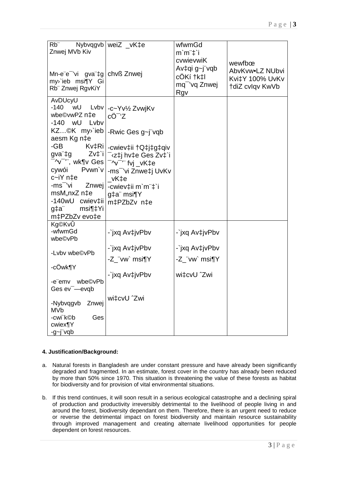| $Rb$ "<br>Znwej MVb Kiv                                                       | Nybvqgvb   weiZ _vK‡e                                                                                             | wfwmGd<br>$m'm''\ddagger i$                                                 |                                                                 |
|-------------------------------------------------------------------------------|-------------------------------------------------------------------------------------------------------------------|-----------------------------------------------------------------------------|-----------------------------------------------------------------|
| Mn-e"e" 'vi gva"‡g   chvß Znwej<br>my'ieb msi¶Y Gi<br>Rb" Znwej RgvKiY        |                                                                                                                   | cvwievwiK<br>Av‡qi g~j"vqb<br>cÖKí †k‡l<br>mq <sup>-</sup> 'vq Znwej<br>Rgv | wewfbœ<br>AbvKvw.LZ NUbvi<br>Kvi‡Y 100% UvKv<br>tdiZ cvlqv KwVb |
| AvDUcyU<br>$-140$<br>wU<br>Lvbv<br>wbe©vwPZ n‡e<br>wU<br>$-140$<br>Lvbv       | -c~Yv½ ZvwjKv<br>cÖ <sup>-</sup> 'Z                                                                               |                                                                             |                                                                 |
| KZ©K my`ieb<br>aesm Kg n‡e                                                    | -Rwic Ges g~j"vqb                                                                                                 |                                                                             |                                                                 |
| -GB<br>Kv‡Ri <br>Zvt'i<br>gva"‡g<br><sup>-</sup> ^v <sup>-</sup> '¨, wk¶v Ges | -cwiev‡ii †Q‡j‡g‡qiv<br><sup>-</sup> 'z‡j hv‡e Ges Zv‡`i<br><sup>-</sup> ^v <sup>-</sup> " <sup>*</sup> fvj _vK‡e |                                                                             |                                                                 |
| Pvwn'v<br>cywói<br>c~iY n‡e                                                   | -ms <sup>-</sup> 'vi Znwe‡j UvKv<br>vK‡e                                                                          |                                                                             |                                                                 |
| -ms <sup>-</sup> 'vi<br>Znwej                                                 | -cwiev‡ii m`m¨‡`i                                                                                                 |                                                                             |                                                                 |
| msM,nxZ n‡e<br>-140wU cwiev‡ii                                                | g‡a" msi¶Y<br>m‡PZbZv n‡e                                                                                         |                                                                             |                                                                 |
| msi¶‡Yi<br>g‡a"<br>m‡PZbZv evo‡e                                              |                                                                                                                   |                                                                             |                                                                 |
| Kg©KvÛ<br>-wfwmGd<br>wbe©vPb                                                  | -`jxq Av‡jvPbv                                                                                                    | -`jxq Av‡jvPbv                                                              |                                                                 |
| -Lvbv wbe©vPb                                                                 | -`jxq Av‡jvPbv                                                                                                    | -`jxq Av‡jvPbv                                                              |                                                                 |
|                                                                               | -Z_¨vw` msi¶Y                                                                                                     | -Z_"vw` msi¶Y                                                               |                                                                 |
| -cÖwk¶Y                                                                       | -`jxq Av‡jvPbv                                                                                                    | wi‡cvU ^Zwi                                                                 |                                                                 |
| -e"emv wbe©vPb<br>Ges ev <sup>-</sup> -evgb                                   |                                                                                                                   |                                                                             |                                                                 |
| -Nybvqgvb<br>Znwej<br><b>MVb</b>                                              | wi‡cvU ^Zwi                                                                                                       |                                                                             |                                                                 |
| -cwi`k©b<br>Ges<br>cwiex¶Y                                                    |                                                                                                                   |                                                                             |                                                                 |
| $-g$ ~j"vqb                                                                   |                                                                                                                   |                                                                             |                                                                 |

# **4. Justification/Background:**

- a. Natural forests in Bangladesh are under constant pressure and have already been significantly degraded and fragmented. In an estimate, forest cover in the country has already been reduced by more than 50% since 1970. This situation is threatening the value of these forests as habitat for biodiversity and for provision of vital environmental situations.
- b. If this trend continues, it will soon result in a serious ecological catastrophe and a declining spiral of production and productivity irreversibly detrimental to the livelihood of people living in and around the forest, biodiversity dependant on them. Therefore, there is an urgent need to reduce or reverse the detrimental impact on forest biodiversity and maintain resource sustainability through improved management and creating alternate livelihood opportunities for people dependent on forest resources.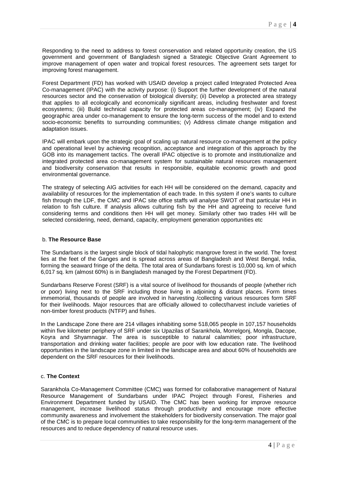Responding to the need to address to forest conservation and related opportunity creation, the US government and government of Bangladesh signed a Strategic Objective Grant Agreement to improve management of open water and tropical forest resources. The agreement sets target for improving forest management.

Forest Department (FD) has worked with USAID develop a project called Integrated Protected Area Co-management (IPAC) with the activity purpose: (i) Support the further development of the natural resources sector and the conservation of biological diversity; (ii) Develop a protected area strategy that applies to all ecologically and economically significant areas, including freshwater and forest ecosystems; (iii) Build technical capacity for protected areas co-management; (iv) Expand the geographic area under co-management to ensure the long-term success of the model and to extend socio-economic benefits to surrounding communities; (v) Address climate change mitigation and adaptation issues.

IPAC will embark upon the strategic goal of scaling up natural resource co-management at the policy and operational level by achieving recognition, acceptance and integration of this approach by the GOB into its management tactics. The overall IPAC objective is to promote and institutionalize and integrated protected area co-management system for sustainable natural resources management and biodiversity conservation that results in responsible, equitable economic growth and good environmental governance.

The strategy of selecting AIG activities for each HH will be considered on the demand, capacity and availability of resources for the implementation of each trade. In this system if one's wants to culture fish through the LDF, the CMC and IPAC site office staffs will analyse SWOT of that particular HH in relation to fish culture. If analysis allows culturing fish by the HH and agreeing to receive fund considering terms and conditions then HH will get money. Similarly other two trades HH will be selected considering, need, demand, capacity, employment generation opportunities etc

#### b. **The Resource Base**

The Sundarbans is the largest single block of tidal halophytic mangrove forest in the world. The forest lies at the feet of the Ganges and is spread across areas of Bangladesh and West Bengal, India, forming the seaward fringe of the delta. The total area of Sundarbans forest is 10,000 sq. km of which 6,017 sq. km (almost 60%) is in Bangladesh managed by the Forest Department (FD).

Sundarbans Reserve Forest (SRF) is a vital source of livelihood for thousands of people (whether rich or poor) living next to the SRF including those living in adjoining & distant places. Form times immemorial, thousands of people are involved in harvesting /collecting various resources form SRF for their livelihoods. Major resources that are officially allowed to collect/harvest include varieties of non-timber forest products (NTFP) and fishes.

In the Landscape Zone there are 214 villages inhabiting some 518,065 people in 107,157 households within five kilometer periphery of SRF under six Upazilas of Sarankhola, Morrelgonj, Mongla, Dacope, Koyra and Shyamnagar. The area is susceptible to natural calamities; poor infrastructure, transportation and drinking water facilities; people are poor with low education rate. The livelihood opportunities in the landscape zone in limited in the landscape area and about 60% of households are dependent on the SRF resources for their livelihoods.

# c. **The Context**

Sarankhola Co-Management Committee (CMC) was formed for collaborative management of Natural Resource Management of Sundarbans under IPAC Project through Forest, Fisheries and Environment Department funded by USAID. The CMC has been working for improve resource management, increase livelihood status through productivity and encourage more effective community awareness and involvement the stakeholders for biodiversity conservation. The major goal of the CMC is to prepare local communities to take responsibility for the long-term management of the resources and to reduce dependency of natural resource uses.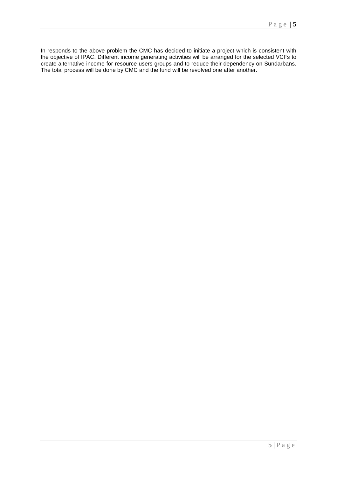In responds to the above problem the CMC has decided to initiate a project which is consistent with the objective of IPAC. Different income generating activities will be arranged for the selected VCFs to create alternative income for resource users groups and to reduce their dependency on Sundarbans. The total process will be done by CMC and the fund will be revolved one after another.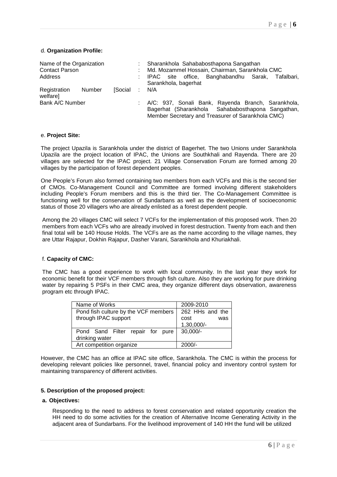#### d. **Organization Profile:**

| Name of the Organization<br>Contact Parson<br>Address |  | Sharankhola Sahababosthapona Sangathan<br>Md. Mozammel Hossain, Chairman, Sarankhola CMC<br>IPAC site office, Banghabandhu Sarak,<br>Tafalbari.<br>Sarankhola, bagerhat |  |  |  |  |
|-------------------------------------------------------|--|-------------------------------------------------------------------------------------------------------------------------------------------------------------------------|--|--|--|--|
| Registration<br>Number<br><b>Social</b><br>welfare]   |  | N/A                                                                                                                                                                     |  |  |  |  |
| Bank A/C Number                                       |  | A/C: 937, Sonali Bank, Rayenda Branch, Sarankhola,<br>Bagerhat (Sharankhola Sahababosthapona Sangathan,<br>Member Secretary and Treasurer of Sarankhola CMC)            |  |  |  |  |

#### e. **Project Site:**

The project Upazila is Sarankhola under the district of Bagerhet. The two Unions under Sarankhola Upazila are the project location of IPAC, the Unions are Southkhali and Rayenda. There are 20 villages are selected for the IPAC project. 21 Village Conservation Forum are formed among 20 villages by the participation of forest dependent peoples.

One People's Forum also formed containing two members from each VCFs and this is the second tier of CMOs. Co-Management Council and Committee are formed involving different stakeholders including People's Forum members and this is the third tier. The Co-Management Committee is functioning well for the conservation of Sundarbans as well as the development of socioeconomic status of those 20 villagers who are already enlisted as a forest dependent people.

Among the 20 villages CMC will select 7 VCFs for the implementation of this proposed work. Then 20 members from each VCFs who are already involved in forest destruction. Twenty from each and then final total will be 140 House Holds. The VCFs are as the name according to the village names, they are Uttar Rajapur, Dokhin Rajapur, Dasher Varani, Sarankhola and Khuriakhali.

#### f. **Capacity of CMC:**

The CMC has a good experience to work with local community. In the last year they work for economic benefit for their VCF members through fish culture. Also they are working for pure drinking water by repairing 5 PSFs in their CMC area, they organize different days observation, awareness program etc through IPAC.

| Name of Works                        | 2009-2010       |  |  |  |
|--------------------------------------|-----------------|--|--|--|
| Pond fish culture by the VCF members | 262 HHs and the |  |  |  |
| through IPAC support                 | cost<br>was     |  |  |  |
|                                      | 1,30,000/-      |  |  |  |
| Pond Sand Filter repair for pure     | $30,000/-$      |  |  |  |
| drinking water                       |                 |  |  |  |
| Art competition organize             | $2000/-$        |  |  |  |

However, the CMC has an office at IPAC site office, Sarankhola. The CMC is within the process for developing relevant policies like personnel, travel, financial policy and inventory control system for maintaining transparency of different activities.

#### **5. Description of the proposed project:**

#### **a. Objectives:**

Responding to the need to address to forest conservation and related opportunity creation the HH need to do some activities for the creation of Alternative Income Generating Activity in the adjacent area of Sundarbans. For the livelihood improvement of 140 HH the fund will be utilized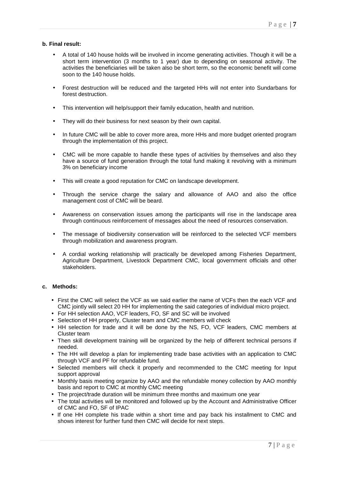## **b. Final result:**

- A total of 140 house holds will be involved in income generating activities. Though it will be a short term intervention (3 months to 1 year) due to depending on seasonal activity. The activities the beneficiaries will be taken also be short term, so the economic benefit will come soon to the 140 house holds.
- Forest destruction will be reduced and the targeted HHs will not enter into Sundarbans for forest destruction.
- This intervention will help/support their family education, health and nutrition.
- They will do their business for next season by their own capital.
- In future CMC will be able to cover more area, more HHs and more budget oriented program through the implementation of this project.
- CMC will be more capable to handle these types of activities by themselves and also they have a source of fund generation through the total fund making it revolving with a minimum 3% on beneficiary income
- This will create a good reputation for CMC on landscape development.
- Through the service charge the salary and allowance of AAO and also the office management cost of CMC will be beard.
- Awareness on conservation issues among the participants will rise in the landscape area through continuous reinforcement of messages about the need of resources conservation.
- The message of biodiversity conservation will be reinforced to the selected VCF members through mobilization and awareness program.
- A cordial working relationship will practically be developed among Fisheries Department, Agriculture Department, Livestock Department CMC, local government officials and other stakeholders.

#### **c. Methods:**

- First the CMC will select the VCF as we said earlier the name of VCFs then the each VCF and CMC jointly will select 20 HH for implementing the said categories of individual micro project.
- For HH selection AAO, VCF leaders, FO, SF and SC will be involved
- Selection of HH properly, Cluster team and CMC members will check
- HH selection for trade and it will be done by the NS, FO, VCF leaders, CMC members at Cluster team
- Then skill development training will be organized by the help of different technical persons if needed.
- The HH will develop a plan for implementing trade base activities with an application to CMC through VCF and PF for refundable fund.
- Selected members will check it properly and recommended to the CMC meeting for Input support approval
- Monthly basis meeting organize by AAO and the refundable money collection by AAO monthly basis and report to CMC at monthly CMC meeting
- The project/trade duration will be minimum three months and maximum one year
- The total activities will be monitored and followed up by the Account and Administrative Officer of CMC and FO, SF of IPAC
- If one HH complete his trade within a short time and pay back his installment to CMC and shows interest for further fund then CMC will decide for next steps.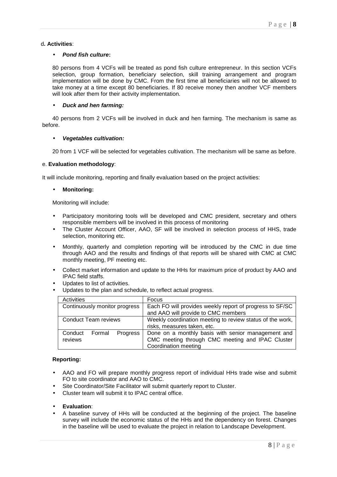#### d**. Activities**:

#### • **Pond fish culture:**

80 persons from 4 VCFs will be treated as pond fish culture entrepreneur. In this section VCFs selection, group formation, beneficiary selection, skill training arrangement and program implementation will be done by CMC. From the first time all beneficiaries will not be allowed to take money at a time except 80 beneficiaries. If 80 receive money then another VCF members will look after them for their activity implementation.

# • **Duck and hen farming:**

40 persons from 2 VCFs will be involved in duck and hen farming. The mechanism is same as before.

#### • **Vegetables cultivation:**

20 from 1 VCF will be selected for vegetables cultivation. The mechanism will be same as before.

#### e. **Evaluation methodology**:

It will include monitoring, reporting and finally evaluation based on the project activities:

## • **Monitoring:**

Monitoring will include:

- Participatory monitoring tools will be developed and CMC president, secretary and others responsible members will be involved in this process of monitoring
- The Cluster Account Officer, AAO, SF will be involved in selection process of HHS, trade selection, monitoring etc.
- Monthly, quarterly and completion reporting will be introduced by the CMC in due time through AAO and the results and findings of that reports will be shared with CMC at CMC monthly meeting, PF meeting etc.
- Collect market information and update to the HHs for maximum price of product by AAO and IPAC field staffs.
- Updates to list of activities.
- Updates to the plan and schedule, to reflect actual progress.

| Activities                    | Focus                                                     |  |  |
|-------------------------------|-----------------------------------------------------------|--|--|
| Continuously monitor progress | Each FO will provides weekly report of progress to SF/SC  |  |  |
|                               | and AAO will provide to CMC members                       |  |  |
| <b>Conduct Team reviews</b>   | Weekly coordination meeting to review status of the work, |  |  |
|                               | risks, measures taken, etc.                               |  |  |
| Conduct<br>Formal<br>Progress | Done on a monthly basis with senior management and        |  |  |
| reviews                       | CMC meeting through CMC meeting and IPAC Cluster          |  |  |
|                               | Coordination meeting                                      |  |  |

#### **Reporting:**

- AAO and FO will prepare monthly progress report of individual HHs trade wise and submit FO to site coordinator and AAO to CMC.
- Site Coordinator/Site Facilitator will submit quarterly report to Cluster.
- Cluster team will submit it to IPAC central office.
- **Evaluation**:
- A baseline survey of HHs will be conducted at the beginning of the project. The baseline survey will include the economic status of the HHs and the dependency on forest. Changes in the baseline will be used to evaluate the project in relation to Landscape Development.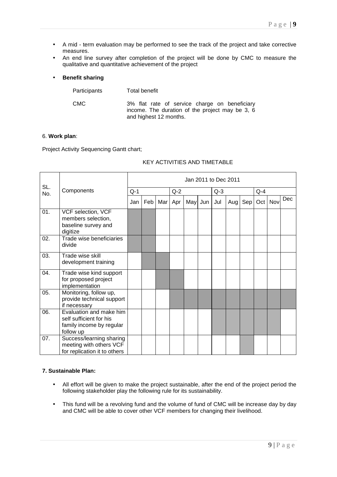- A mid term evaluation may be performed to see the track of the project and take corrective measures.
- An end line survey after completion of the project will be done by CMC to measure the qualitative and quantitative achievement of the project

## • **Benefit sharing**

| Participants | Total benefit                                                                                                              |
|--------------|----------------------------------------------------------------------------------------------------------------------------|
| <b>CMC</b>   | 3% flat rate of service charge on beneficiary<br>income. The duration of the project may be 3, 6<br>and highest 12 months. |

#### 6. **Work plan**:

Project Activity Sequencing Gantt chart;

# KEY ACTIVITIES AND TIMETABLE

| SL. |                                                                                             |       |     |     |       |         |       | Jan 2011 to Dec 2011 |     |         |     |     |  |  |
|-----|---------------------------------------------------------------------------------------------|-------|-----|-----|-------|---------|-------|----------------------|-----|---------|-----|-----|--|--|
| No. | Components                                                                                  | $Q-1$ |     |     | $Q-2$ |         | $Q-3$ |                      |     | $Q - 4$ |     |     |  |  |
|     |                                                                                             | Jan   | Feb | Mar | Apr   | May Jun | Jul   | Aug                  | Sep | Oct     | Nov | Dec |  |  |
| 01. | VCF selection, VCF<br>members selection,<br>baseline survey and<br>digitize                 |       |     |     |       |         |       |                      |     |         |     |     |  |  |
| 02. | Trade wise beneficiaries<br>divide                                                          |       |     |     |       |         |       |                      |     |         |     |     |  |  |
| 03. | Trade wise skill<br>development training                                                    |       |     |     |       |         |       |                      |     |         |     |     |  |  |
| 04. | Trade wise kind support<br>for proposed project<br>implementation                           |       |     |     |       |         |       |                      |     |         |     |     |  |  |
| 05. | Monitoring, follow up,<br>provide technical support<br>if necessary                         |       |     |     |       |         |       |                      |     |         |     |     |  |  |
| 06. | Evaluation and make him<br>self sufficient for his<br>family income by regular<br>follow up |       |     |     |       |         |       |                      |     |         |     |     |  |  |
| 07. | Success/learning sharing<br>meeting with others VCF<br>for replication it to others         |       |     |     |       |         |       |                      |     |         |     |     |  |  |

#### **7. Sustainable Plan:**

- All effort will be given to make the project sustainable, after the end of the project period the following stakeholder play the following rule for its sustainability.
- This fund will be a revolving fund and the volume of fund of CMC will be increase day by day and CMC will be able to cover other VCF members for changing their livelihood.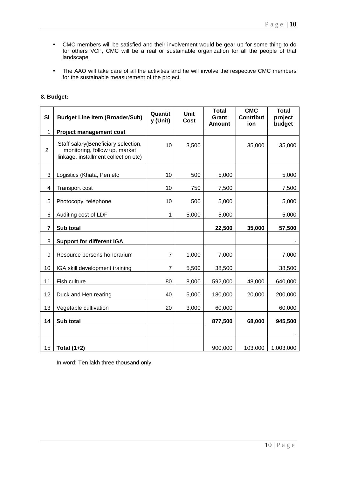- CMC members will be satisfied and their involvement would be gear up for some thing to do for others VCF, CMC will be a real or sustainable organization for all the people of that landscape.
- The AAO will take care of all the activities and he will involve the respective CMC members for the sustainable measurement of the project.

| SI             | <b>Budget Line Item (Broader/Sub)</b>                                                                        | Quantit<br>y (Unit) | <b>Unit</b><br>Cost | <b>Total</b><br>Grant<br><b>Amount</b> | <b>CMC</b><br><b>Contribut</b><br>ion | <b>Total</b><br>project<br>budget |
|----------------|--------------------------------------------------------------------------------------------------------------|---------------------|---------------------|----------------------------------------|---------------------------------------|-----------------------------------|
| 1              | <b>Project management cost</b>                                                                               |                     |                     |                                        |                                       |                                   |
| $\overline{2}$ | Staff salary(Beneficiary selection,<br>monitoring, follow up, market<br>linkage, installment collection etc) | 10                  | 3,500               |                                        | 35,000                                | 35,000                            |
| 3              | Logistics (Khata, Pen etc                                                                                    | 10                  | 500                 | 5,000                                  |                                       | 5,000                             |
| 4              | Transport cost                                                                                               | 10                  | 750                 | 7,500                                  |                                       | 7,500                             |
| 5              | Photocopy, telephone                                                                                         | 10                  | 500                 | 5,000                                  |                                       | 5,000                             |
| 6              | Auditing cost of LDF                                                                                         | 1                   | 5,000               | 5,000                                  |                                       | 5,000                             |
| $\overline{7}$ | Sub total                                                                                                    |                     |                     | 22,500                                 | 35,000                                | 57,500                            |
| 8              | <b>Support for different IGA</b>                                                                             |                     |                     |                                        |                                       |                                   |
| 9              | Resource persons honorarium                                                                                  | 7                   | 1,000               | 7,000                                  |                                       | 7,000                             |
| 10             | IGA skill development training                                                                               | 7                   | 5,500               | 38,500                                 |                                       | 38,500                            |
| 11             | Fish culture                                                                                                 | 80                  | 8,000               | 592,000                                | 48,000                                | 640,000                           |
| 12             | Duck and Hen rearing                                                                                         | 40                  | 5,000               | 180,000                                | 20,000                                | 200,000                           |
| 13             | Vegetable cultivation                                                                                        | 20                  | 3,000               | 60,000                                 |                                       | 60,000                            |
| 14             | Sub total                                                                                                    |                     |                     | 877,500                                | 68,000                                | 945,500                           |
|                |                                                                                                              |                     |                     |                                        |                                       |                                   |
| 15             | Total (1+2)                                                                                                  |                     |                     | 900,000                                | 103,000                               | 1,003,000                         |

# **8. Budget:**

In word: Ten lakh three thousand only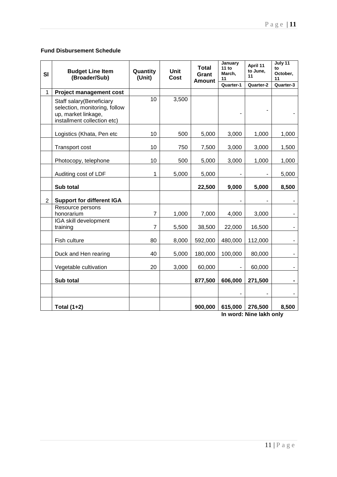# **Fund Disbursement Schedule**

| <b>SI</b>      | <b>Budget Line Item</b><br>(Broader/Sub)                                                                        | Quantity<br>(Unit) | <b>Unit</b><br><b>Cost</b> | <b>Total</b><br>Grant<br><b>Amount</b> | January<br>11 to<br>March,<br>11 | April 11<br>to June,<br>11 | July 11<br>to<br>October,<br>11 |
|----------------|-----------------------------------------------------------------------------------------------------------------|--------------------|----------------------------|----------------------------------------|----------------------------------|----------------------------|---------------------------------|
|                |                                                                                                                 |                    |                            |                                        | Quarter-1                        | Quarter-2                  | Quarter-3                       |
| $\mathbf{1}$   | <b>Project management cost</b>                                                                                  |                    |                            |                                        |                                  |                            |                                 |
|                | Staff salary(Beneficiary<br>selection, monitoring, follow<br>up, market linkage,<br>installment collection etc) | $\overline{10}$    | 3,500                      |                                        |                                  |                            |                                 |
|                | Logistics (Khata, Pen etc                                                                                       | 10                 | 500                        | 5,000                                  | 3,000                            | 1,000                      | 1,000                           |
|                | Transport cost                                                                                                  | 10                 | 750                        | 7,500                                  | 3,000                            | 3,000                      | 1,500                           |
|                | Photocopy, telephone                                                                                            | 10                 | 500                        | 5,000                                  | 3,000                            | 1,000                      | 1,000                           |
|                | Auditing cost of LDF                                                                                            | $\mathbf{1}$       | 5,000                      | 5,000                                  |                                  |                            | 5,000                           |
|                | Sub total                                                                                                       |                    |                            | 22,500                                 | 9,000                            | 5,000                      | 8,500                           |
| $\overline{2}$ | <b>Support for different IGA</b>                                                                                |                    |                            |                                        |                                  |                            |                                 |
|                | Resource persons<br>honorarium                                                                                  | $\overline{7}$     | 1,000                      | 7,000                                  | 4,000                            | 3,000                      |                                 |
|                | IGA skill development<br>training                                                                               | $\overline{7}$     | 5,500                      | 38,500                                 | 22,000                           | 16,500                     |                                 |
|                | Fish culture                                                                                                    | 80                 | 8,000                      | 592,000                                | 480,000                          | 112,000                    |                                 |
|                | Duck and Hen rearing                                                                                            | 40                 | 5,000                      | 180,000                                | 100,000                          | 80,000                     | $\sim$                          |
|                | Vegetable cultivation                                                                                           | 20                 | 3,000                      | 60,000                                 |                                  | 60,000                     | $\sim$                          |
|                | Sub total                                                                                                       |                    |                            | 877,500                                | 606,000                          | 271,500                    |                                 |
|                |                                                                                                                 |                    |                            |                                        |                                  |                            |                                 |
|                | Total $(1+2)$                                                                                                   |                    |                            | 900,000                                | 615,000                          | 276,500                    | 8,500                           |

**In word: Nine lakh only**